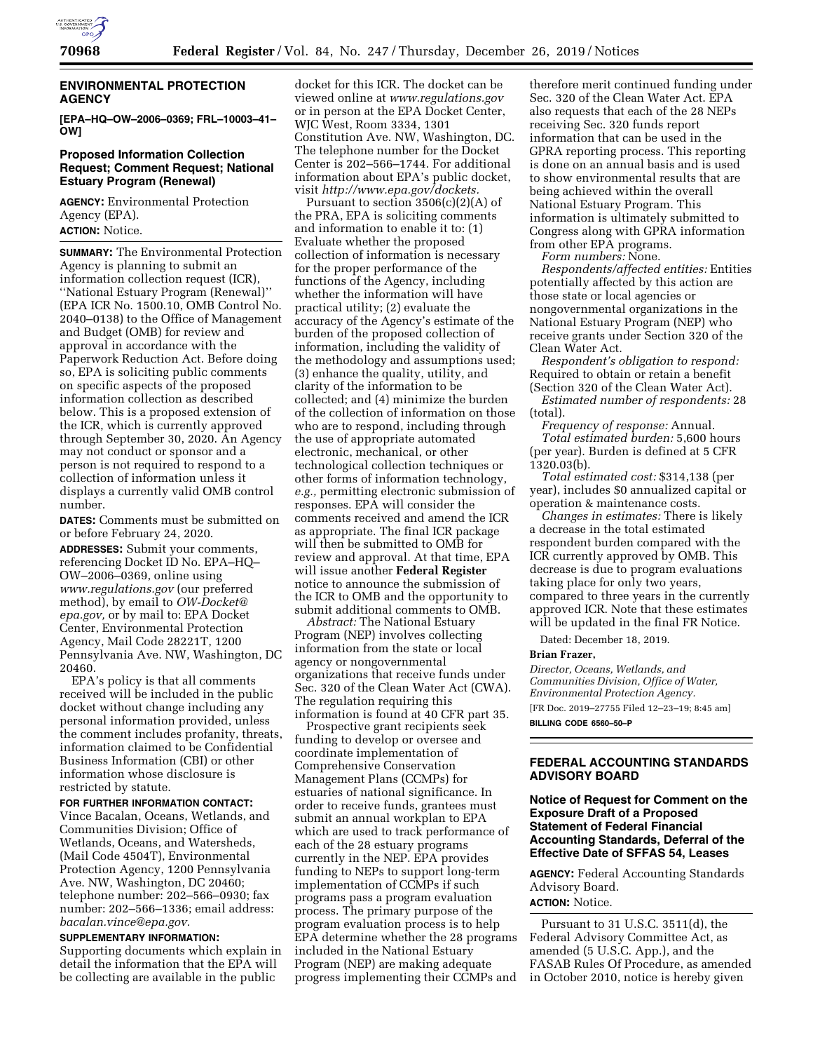

# **ENVIRONMENTAL PROTECTION AGENCY**

**[EPA–HQ–OW–2006–0369; FRL–10003–41– OW]** 

## **Proposed Information Collection Request; Comment Request; National Estuary Program (Renewal)**

**AGENCY:** Environmental Protection Agency (EPA). **ACTION:** Notice.

**SUMMARY:** The Environmental Protection Agency is planning to submit an information collection request (ICR), ''National Estuary Program (Renewal)'' (EPA ICR No. 1500.10, OMB Control No. 2040–0138) to the Office of Management and Budget (OMB) for review and approval in accordance with the Paperwork Reduction Act. Before doing so, EPA is soliciting public comments on specific aspects of the proposed information collection as described below. This is a proposed extension of the ICR, which is currently approved through September 30, 2020. An Agency may not conduct or sponsor and a person is not required to respond to a collection of information unless it displays a currently valid OMB control number.

**DATES:** Comments must be submitted on or before February 24, 2020. **ADDRESSES:** Submit your comments, referencing Docket ID No. EPA–HQ– OW–2006–0369, online using *[www.regulations.gov](http://www.regulations.gov)* (our preferred method), by email to *[OW-Docket@](mailto:OW-Docket@epa.gov) [epa.gov,](mailto:OW-Docket@epa.gov)* or by mail to: EPA Docket Center, Environmental Protection Agency, Mail Code 28221T, 1200 Pennsylvania Ave. NW, Washington, DC 20460.

EPA's policy is that all comments received will be included in the public docket without change including any personal information provided, unless the comment includes profanity, threats, information claimed to be Confidential Business Information (CBI) or other information whose disclosure is restricted by statute.

#### **FOR FURTHER INFORMATION CONTACT:**

Vince Bacalan, Oceans, Wetlands, and Communities Division; Office of Wetlands, Oceans, and Watersheds, (Mail Code 4504T), Environmental Protection Agency, 1200 Pennsylvania Ave. NW, Washington, DC 20460; telephone number: 202–566–0930; fax number: 202–566–1336; email address: *[bacalan.vince@epa.gov.](mailto:bacalan.vince@epa.gov)* 

# **SUPPLEMENTARY INFORMATION:**

Supporting documents which explain in detail the information that the EPA will be collecting are available in the public

docket for this ICR. The docket can be viewed online at *[www.regulations.gov](http://www.regulations.gov)*  or in person at the EPA Docket Center, WJC West, Room 3334, 1301 Constitution Ave. NW, Washington, DC. The telephone number for the Docket Center is 202–566–1744. For additional information about EPA's public docket, visit *[http://www.epa.gov/dockets.](http://www.epa.gov/dockets)* 

Pursuant to section 3506(c)(2)(A) of the PRA, EPA is soliciting comments and information to enable it to: (1) Evaluate whether the proposed collection of information is necessary for the proper performance of the functions of the Agency, including whether the information will have practical utility; (2) evaluate the accuracy of the Agency's estimate of the burden of the proposed collection of information, including the validity of the methodology and assumptions used; (3) enhance the quality, utility, and clarity of the information to be collected; and (4) minimize the burden of the collection of information on those who are to respond, including through the use of appropriate automated electronic, mechanical, or other technological collection techniques or other forms of information technology, *e.g.,* permitting electronic submission of responses. EPA will consider the comments received and amend the ICR as appropriate. The final ICR package will then be submitted to OMB for review and approval. At that time, EPA will issue another **Federal Register**  notice to announce the submission of the ICR to OMB and the opportunity to submit additional comments to OMB.

*Abstract:* The National Estuary Program (NEP) involves collecting information from the state or local agency or nongovernmental organizations that receive funds under Sec. 320 of the Clean Water Act (CWA). The regulation requiring this information is found at 40 CFR part 35.

Prospective grant recipients seek funding to develop or oversee and coordinate implementation of Comprehensive Conservation Management Plans (CCMPs) for estuaries of national significance. In order to receive funds, grantees must submit an annual workplan to EPA which are used to track performance of each of the 28 estuary programs currently in the NEP. EPA provides funding to NEPs to support long-term implementation of CCMPs if such programs pass a program evaluation process. The primary purpose of the program evaluation process is to help EPA determine whether the 28 programs included in the National Estuary Program (NEP) are making adequate progress implementing their CCMPs and

therefore merit continued funding under Sec. 320 of the Clean Water Act. EPA also requests that each of the 28 NEPs receiving Sec. 320 funds report information that can be used in the GPRA reporting process. This reporting is done on an annual basis and is used to show environmental results that are being achieved within the overall National Estuary Program. This information is ultimately submitted to Congress along with GPRA information from other EPA programs.

*Form numbers:* None.

*Respondents/affected entities:* Entities potentially affected by this action are those state or local agencies or nongovernmental organizations in the National Estuary Program (NEP) who receive grants under Section 320 of the Clean Water Act.

*Respondent's obligation to respond:*  Required to obtain or retain a benefit (Section 320 of the Clean Water Act).

*Estimated number of respondents:* 28 (total).

*Frequency of response:* Annual. *Total estimated burden:* 5,600 hours (per year). Burden is defined at 5 CFR 1320.03(b).

*Total estimated cost:* \$314,138 (per year), includes \$0 annualized capital or operation & maintenance costs.

*Changes in estimates:* There is likely a decrease in the total estimated respondent burden compared with the ICR currently approved by OMB. This decrease is due to program evaluations taking place for only two years, compared to three years in the currently approved ICR. Note that these estimates will be updated in the final FR Notice.

Dated: December 18, 2019.

#### **Brian Frazer,**

*Director, Oceans, Wetlands, and Communities Division, Office of Water, Environmental Protection Agency.*  [FR Doc. 2019–27755 Filed 12–23–19; 8:45 am]

**BILLING CODE 6560–50–P** 

## **FEDERAL ACCOUNTING STANDARDS ADVISORY BOARD**

# **Notice of Request for Comment on the Exposure Draft of a Proposed Statement of Federal Financial Accounting Standards, Deferral of the Effective Date of SFFAS 54, Leases**

**AGENCY:** Federal Accounting Standards Advisory Board.

# **ACTION:** Notice.

Pursuant to 31 U.S.C. 3511(d), the Federal Advisory Committee Act, as amended (5 U.S.C. App.), and the FASAB Rules Of Procedure, as amended in October 2010, notice is hereby given